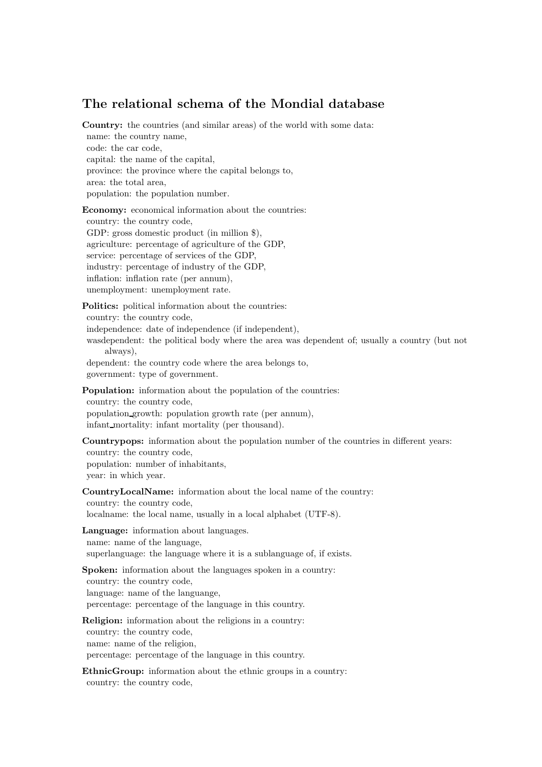## The relational schema of the Mondial database

Country: the countries (and similar areas) of the world with some data: name: the country name, code: the car code, capital: the name of the capital, province: the province where the capital belongs to, area: the total area, population: the population number.

Economy: economical information about the countries: country: the country code, GDP: gross domestic product (in million \$), agriculture: percentage of agriculture of the GDP, service: percentage of services of the GDP, industry: percentage of industry of the GDP, inflation: inflation rate (per annum), unemployment: unemployment rate.

Politics: political information about the countries:

country: the country code,

independence: date of independence (if independent),

wasdependent: the political body where the area was dependent of; usually a country (but not always),

dependent: the country code where the area belongs to, government: type of government.

Population: information about the population of the countries:

country: the country code, population growth: population growth rate (per annum), infant mortality: infant mortality (per thousand).

Countrypops: information about the population number of the countries in different years: country: the country code, population: number of inhabitants, year: in which year.

CountryLocalName: information about the local name of the country: country: the country code, localname: the local name, usually in a local alphabet (UTF-8).

Language: information about languages.

name: name of the language, superlanguage: the language where it is a sublanguage of, if exists.

Spoken: information about the languages spoken in a country: country: the country code, language: name of the languange, percentage: percentage of the language in this country.

Religion: information about the religions in a country: country: the country code, name: name of the religion, percentage: percentage of the language in this country.

EthnicGroup: information about the ethnic groups in a country: country: the country code,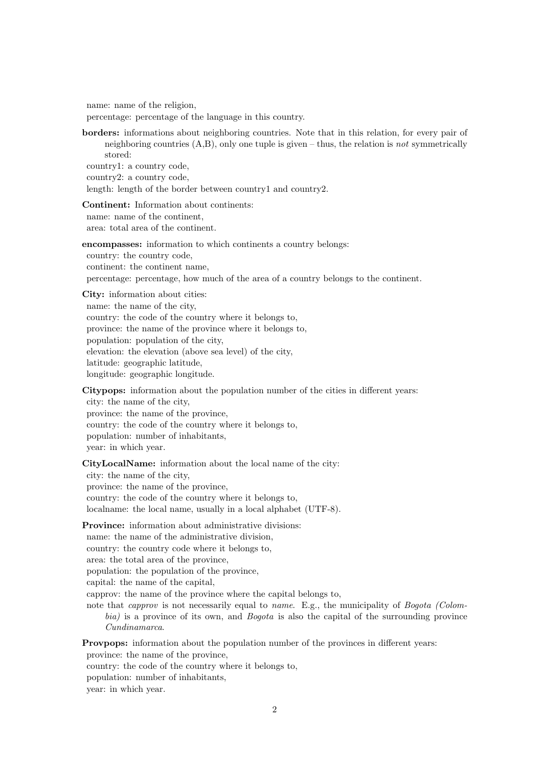name: name of the religion,

percentage: percentage of the language in this country.

borders: informations about neighboring countries. Note that in this relation, for every pair of neighboring countries  $(A,B)$ , only one tuple is given – thus, the relation is not symmetrically stored:

country1: a country code, country2: a country code,

length: length of the border between country1 and country2.

Continent: Information about continents: name: name of the continent, area: total area of the continent.

encompasses: information to which continents a country belongs: country: the country code, continent: the continent name, percentage: percentage, how much of the area of a country belongs to the continent.

City: information about cities:

name: the name of the city, country: the code of the country where it belongs to, province: the name of the province where it belongs to, population: population of the city, elevation: the elevation (above sea level) of the city, latitude: geographic latitude, longitude: geographic longitude.

Citypops: information about the population number of the cities in different years: city: the name of the city, province: the name of the province, country: the code of the country where it belongs to, population: number of inhabitants, year: in which year.

CityLocalName: information about the local name of the city: city: the name of the city, province: the name of the province, country: the code of the country where it belongs to, localname: the local name, usually in a local alphabet (UTF-8).

Province: information about administrative divisions: name: the name of the administrative division, country: the country code where it belongs to, area: the total area of the province, population: the population of the province, capital: the name of the capital, capprov: the name of the province where the capital belongs to, note that *capprov* is not necessarily equal to *name*. E.g., the municipality of *Bogota (Colom*bia) is a province of its own, and Bogota is also the capital of the surrounding province Cundinamarca.

Provpops: information about the population number of the provinces in different years: province: the name of the province,

country: the code of the country where it belongs to,

population: number of inhabitants,

year: in which year.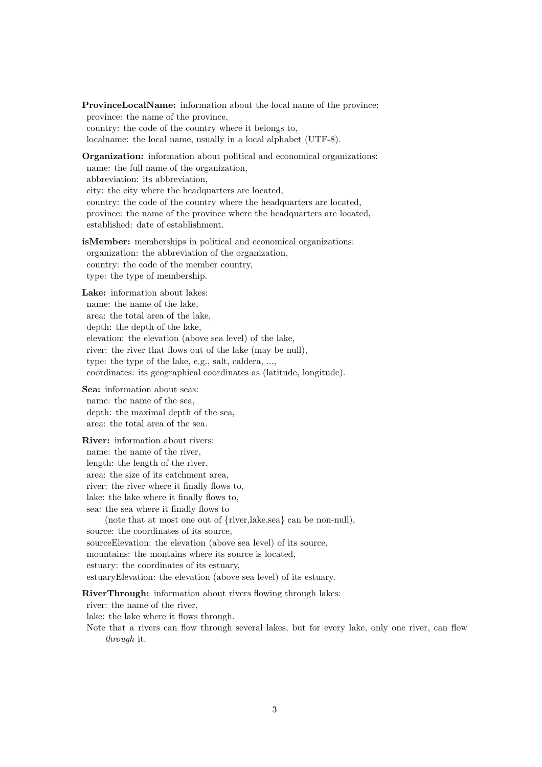ProvinceLocalName: information about the local name of the province: province: the name of the province, country: the code of the country where it belongs to, localname: the local name, usually in a local alphabet (UTF-8).

**Organization:** information about political and economical organizations: name: the full name of the organization, abbreviation: its abbreviation, city: the city where the headquarters are located, country: the code of the country where the headquarters are located, province: the name of the province where the headquarters are located, established: date of establishment.

isMember: memberships in political and economical organizations: organization: the abbreviation of the organization, country: the code of the member country, type: the type of membership.

Lake: information about lakes: name: the name of the lake, area: the total area of the lake, depth: the depth of the lake, elevation: the elevation (above sea level) of the lake, river: the river that flows out of the lake (may be null), type: the type of the lake, e.g., salt, caldera, ..., coordinates: its geographical coordinates as (latitude, longitude).

Sea: information about seas: name: the name of the sea, depth: the maximal depth of the sea, area: the total area of the sea.

River: information about rivers: name: the name of the river, length: the length of the river, area: the size of its catchment area, river: the river where it finally flows to, lake: the lake where it finally flows to, sea: the sea where it finally flows to (note that at most one out of {river,lake,sea} can be non-null), source: the coordinates of its source, sourceElevation: the elevation (above sea level) of its source, mountains: the montains where its source is located, estuary: the coordinates of its estuary, estuaryElevation: the elevation (above sea level) of its estuary.

RiverThrough: information about rivers flowing through lakes:

river: the name of the river,

lake: the lake where it flows through.

Note that a rivers can flow through several lakes, but for every lake, only one river, can flow through it.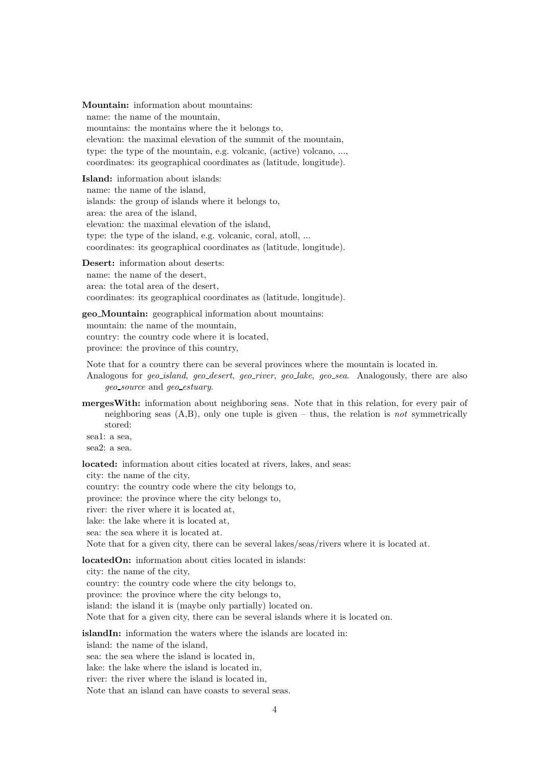Mountain: information about mountains: name: the name of the mountain, mountains: the montains where the it belongs to, elevation: the maximal elevation of the summit of the mountain, type: the type of the mountain, e.g. volcanic, (active) volcano, ..., coordinates: its geographical coordinates as (latitude, longitude).

Island: information about islands: name: the name of the island, islands: the group of islands where it belongs to, area: the area of the island, elevation: the maximal elevation of the island, type: the type of the island, e.g. volcanic, coral, atoll, ... coordinates: its geographical coordinates as (latitude, longitude).

Desert: information about deserts: name: the name of the desert, area: the total area of the desert, coordinates: its geographical coordinates as (latitude, longitude).

geo Mountain: geographical information about mountains: mountain: the name of the mountain, country: the country code where it is located, province: the province of this country,

Note that for a country there can be several provinces where the mountain is located in.

Analogous for *geo\_island, geo\_desert, geo\_river, geo\_lake, geo\_sea*. Analogously, there are also geo source and geo estuary.

mergesWith: information about neighboring seas. Note that in this relation, for every pair of neighboring seas  $(A,B)$ , only one tuple is given – thus, the relation is not symmetrically stored:

sea1: a sea, sea2: a sea.

located: information about cities located at rivers, lakes, and seas: city: the name of the city, country: the country code where the city belongs to, province: the province where the city belongs to, river: the river where it is located at, lake: the lake where it is located at, sea: the sea where it is located at. Note that for a given city, there can be several lakes/seas/rivers where it is located at.

locatedOn: information about cities located in islands:

city: the name of the city, country: the country code where the city belongs to, province: the province where the city belongs to, island: the island it is (maybe only partially) located on. Note that for a given city, there can be several islands where it is located on.

islandIn: information the waters where the islands are located in:

island: the name of the island,

sea: the sea where the island is located in,

lake: the lake where the island is located in,

river: the river where the island is located in,

Note that an island can have coasts to several seas.